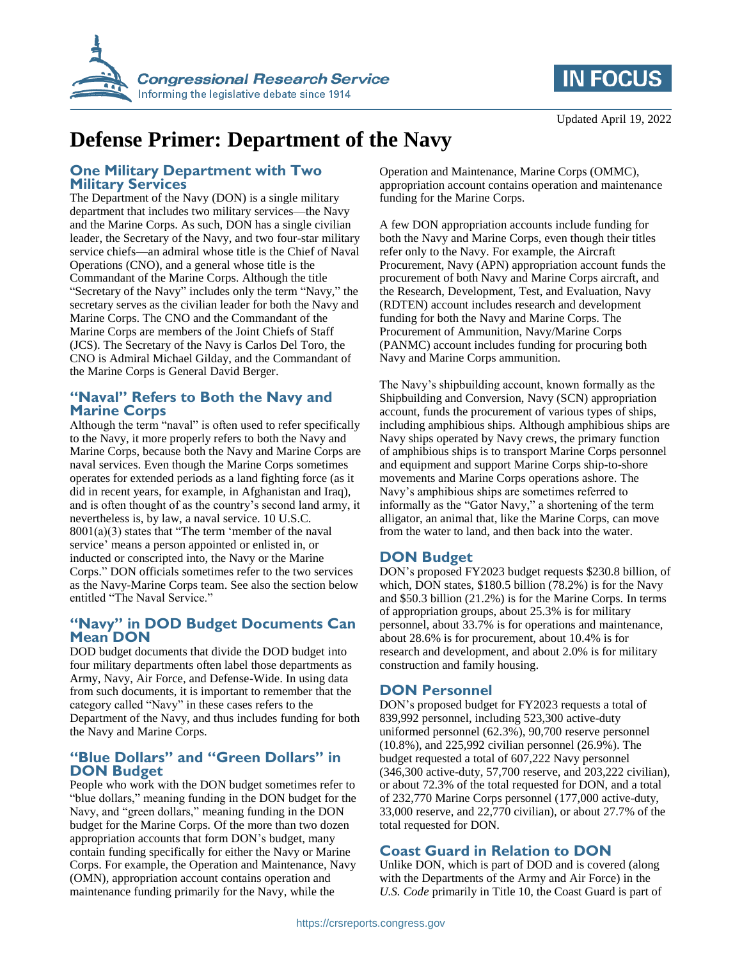



# **Defense Primer: Department of the Navy**

#### **One Military Department with Two Military Services**

The Department of the Navy (DON) is a single military department that includes two military services—the Navy and the Marine Corps. As such, DON has a single civilian leader, the Secretary of the Navy, and two four-star military service chiefs—an admiral whose title is the Chief of Naval Operations (CNO), and a general whose title is the Commandant of the Marine Corps. Although the title "Secretary of the Navy" includes only the term "Navy," the secretary serves as the civilian leader for both the Navy and Marine Corps. The CNO and the Commandant of the Marine Corps are members of the Joint Chiefs of Staff (JCS). The Secretary of the Navy is Carlos Del Toro, the CNO is Admiral Michael Gilday, and the Commandant of the Marine Corps is General David Berger.

#### **"Naval" Refers to Both the Navy and Marine Corps**

Although the term "naval" is often used to refer specifically to the Navy, it more properly refers to both the Navy and Marine Corps, because both the Navy and Marine Corps are naval services. Even though the Marine Corps sometimes operates for extended periods as a land fighting force (as it did in recent years, for example, in Afghanistan and Iraq), and is often thought of as the country's second land army, it nevertheless is, by law, a naval service. 10 U.S.C. 8001(a)(3) states that "The term 'member of the naval service' means a person appointed or enlisted in, or inducted or conscripted into, the Navy or the Marine Corps." DON officials sometimes refer to the two services as the Navy-Marine Corps team. See also the section below entitled "The Naval Service."

### **"Navy" in DOD Budget Documents Can Mean DON**

DOD budget documents that divide the DOD budget into four military departments often label those departments as Army, Navy, Air Force, and Defense-Wide. In using data from such documents, it is important to remember that the category called "Navy" in these cases refers to the Department of the Navy, and thus includes funding for both the Navy and Marine Corps.

#### **"Blue Dollars" and "Green Dollars" in DON Budget**

People who work with the DON budget sometimes refer to "blue dollars," meaning funding in the DON budget for the Navy, and "green dollars," meaning funding in the DON budget for the Marine Corps. Of the more than two dozen appropriation accounts that form DON's budget, many contain funding specifically for either the Navy or Marine Corps. For example, the Operation and Maintenance, Navy (OMN), appropriation account contains operation and maintenance funding primarily for the Navy, while the

Operation and Maintenance, Marine Corps (OMMC), appropriation account contains operation and maintenance funding for the Marine Corps.

A few DON appropriation accounts include funding for both the Navy and Marine Corps, even though their titles refer only to the Navy. For example, the Aircraft Procurement, Navy (APN) appropriation account funds the procurement of both Navy and Marine Corps aircraft, and the Research, Development, Test, and Evaluation, Navy (RDTEN) account includes research and development funding for both the Navy and Marine Corps. The Procurement of Ammunition, Navy/Marine Corps (PANMC) account includes funding for procuring both Navy and Marine Corps ammunition.

The Navy's shipbuilding account, known formally as the Shipbuilding and Conversion, Navy (SCN) appropriation account, funds the procurement of various types of ships, including amphibious ships. Although amphibious ships are Navy ships operated by Navy crews, the primary function of amphibious ships is to transport Marine Corps personnel and equipment and support Marine Corps ship-to-shore movements and Marine Corps operations ashore. The Navy's amphibious ships are sometimes referred to informally as the "Gator Navy," a shortening of the term alligator, an animal that, like the Marine Corps, can move from the water to land, and then back into the water.

### **DON Budget**

DON's proposed FY2023 budget requests \$230.8 billion, of which, DON states, \$180.5 billion (78.2%) is for the Navy and \$50.3 billion (21.2%) is for the Marine Corps. In terms of appropriation groups, about 25.3% is for military personnel, about 33.7% is for operations and maintenance, about 28.6% is for procurement, about 10.4% is for research and development, and about 2.0% is for military construction and family housing.

### **DON Personnel**

DON's proposed budget for FY2023 requests a total of 839,992 personnel, including 523,300 active-duty uniformed personnel (62.3%), 90,700 reserve personnel (10.8%), and 225,992 civilian personnel (26.9%). The budget requested a total of 607,222 Navy personnel (346,300 active-duty, 57,700 reserve, and 203,222 civilian), or about 72.3% of the total requested for DON, and a total of 232,770 Marine Corps personnel (177,000 active-duty, 33,000 reserve, and 22,770 civilian), or about 27.7% of the total requested for DON.

### **Coast Guard in Relation to DON**

Unlike DON, which is part of DOD and is covered (along with the Departments of the Army and Air Force) in the *U.S. Code* primarily in Title 10, the Coast Guard is part of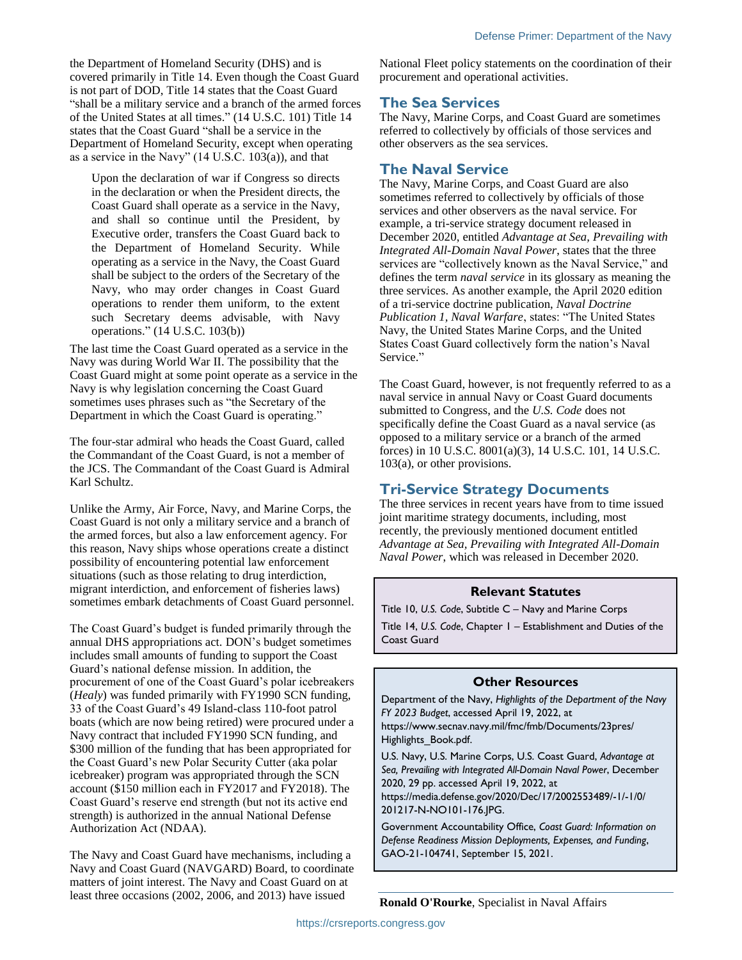the Department of Homeland Security (DHS) and is covered primarily in Title 14. Even though the Coast Guard is not part of DOD, Title 14 states that the Coast Guard "shall be a military service and a branch of the armed forces of the United States at all times." (14 U.S.C. 101) Title 14 states that the Coast Guard "shall be a service in the Department of Homeland Security, except when operating as a service in the Navy" (14 U.S.C. 103(a)), and that

Upon the declaration of war if Congress so directs in the declaration or when the President directs, the Coast Guard shall operate as a service in the Navy, and shall so continue until the President, by Executive order, transfers the Coast Guard back to the Department of Homeland Security. While operating as a service in the Navy, the Coast Guard shall be subject to the orders of the Secretary of the Navy, who may order changes in Coast Guard operations to render them uniform, to the extent such Secretary deems advisable, with Navy operations." (14 U.S.C. 103(b))

The last time the Coast Guard operated as a service in the Navy was during World War II. The possibility that the Coast Guard might at some point operate as a service in the Navy is why legislation concerning the Coast Guard sometimes uses phrases such as "the Secretary of the Department in which the Coast Guard is operating."

The four-star admiral who heads the Coast Guard, called the Commandant of the Coast Guard, is not a member of the JCS. The Commandant of the Coast Guard is Admiral Karl Schultz.

Unlike the Army, Air Force, Navy, and Marine Corps, the Coast Guard is not only a military service and a branch of the armed forces, but also a law enforcement agency. For this reason, Navy ships whose operations create a distinct possibility of encountering potential law enforcement situations (such as those relating to drug interdiction, migrant interdiction, and enforcement of fisheries laws) sometimes embark detachments of Coast Guard personnel.

The Coast Guard's budget is funded primarily through the annual DHS appropriations act. DON's budget sometimes includes small amounts of funding to support the Coast Guard's national defense mission. In addition, the procurement of one of the Coast Guard's polar icebreakers (*Healy*) was funded primarily with FY1990 SCN funding, 33 of the Coast Guard's 49 Island-class 110-foot patrol boats (which are now being retired) were procured under a Navy contract that included FY1990 SCN funding, and \$300 million of the funding that has been appropriated for the Coast Guard's new Polar Security Cutter (aka polar icebreaker) program was appropriated through the SCN account (\$150 million each in FY2017 and FY2018). The Coast Guard's reserve end strength (but not its active end strength) is authorized in the annual National Defense Authorization Act (NDAA).

The Navy and Coast Guard have mechanisms, including a Navy and Coast Guard (NAVGARD) Board, to coordinate matters of joint interest. The Navy and Coast Guard on at least three occasions (2002, 2006, and 2013) have issued

National Fleet policy statements on the coordination of their procurement and operational activities.

### **The Sea Services**

The Navy, Marine Corps, and Coast Guard are sometimes referred to collectively by officials of those services and other observers as the sea services.

### **The Naval Service**

The Navy, Marine Corps, and Coast Guard are also sometimes referred to collectively by officials of those services and other observers as the naval service. For example, a tri-service strategy document released in December 2020, entitled *Advantage at Sea, Prevailing with Integrated All-Domain Naval Power*, states that the three services are "collectively known as the Naval Service," and defines the term *naval service* in its glossary as meaning the three services. As another example, the April 2020 edition of a tri-service doctrine publication, *Naval Doctrine Publication 1, Naval Warfare*, states: "The United States Navy, the United States Marine Corps, and the United States Coast Guard collectively form the nation's Naval Service."

The Coast Guard, however, is not frequently referred to as a naval service in annual Navy or Coast Guard documents submitted to Congress, and the *U.S. Code* does not specifically define the Coast Guard as a naval service (as opposed to a military service or a branch of the armed forces) in 10 U.S.C. 8001(a)(3), 14 U.S.C. 101, 14 U.S.C. 103(a), or other provisions.

### **Tri-Service Strategy Documents**

The three services in recent years have from to time issued joint maritime strategy documents, including, most recently, the previously mentioned document entitled *Advantage at Sea, Prevailing with Integrated All-Domain Naval Power*, which was released in December 2020.

### **Relevant Statutes**

Title 10, *U.S. Code*, Subtitle C – Navy and Marine Corps Title 14, *U.S. Code*, Chapter 1 – Establishment and Duties of the Coast Guard

#### **Other Resources**

Department of the Navy, *Highlights of the Department of the Navy FY 2023 Budget*, accessed April 19, 2022, at https://www.secnav.navy.mil/fmc/fmb/Documents/23pres/ Highlights\_Book.pdf.

U.S. Navy, U.S. Marine Corps, U.S. Coast Guard, *Advantage at Sea, Prevailing with Integrated All-Domain Naval Power*, December 2020, 29 pp. accessed April 19, 2022, at

https://media.defense.gov/2020/Dec/17/2002553489/-1/-1/0/ 201217-N-NO101-176.JPG.

Government Accountability Office, *Coast Guard: Information on Defense Readiness Mission Deployments, Expenses, and Funding*, GAO-21-104741, September 15, 2021.

**Ronald O'Rourke**, Specialist in Naval Affairs